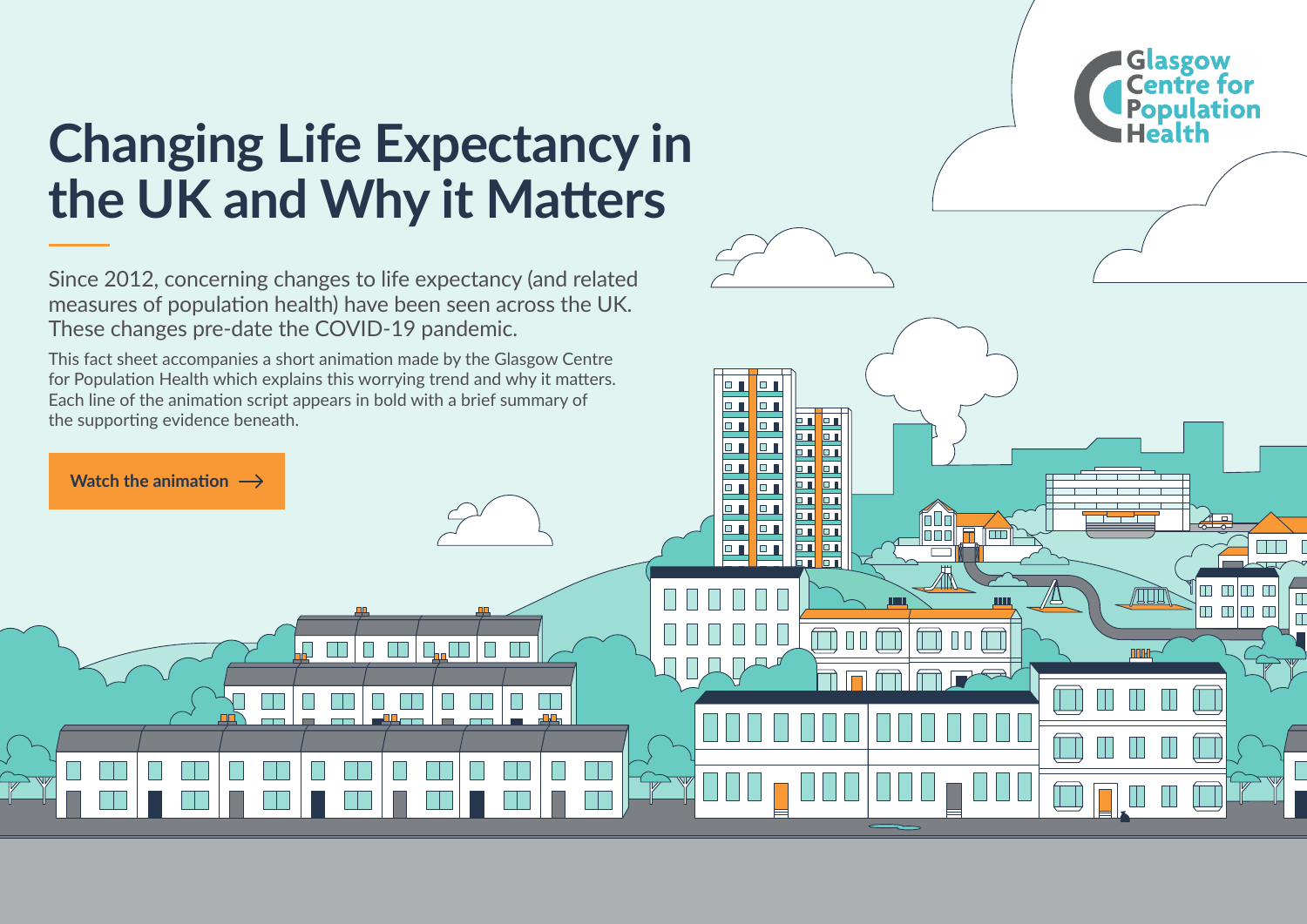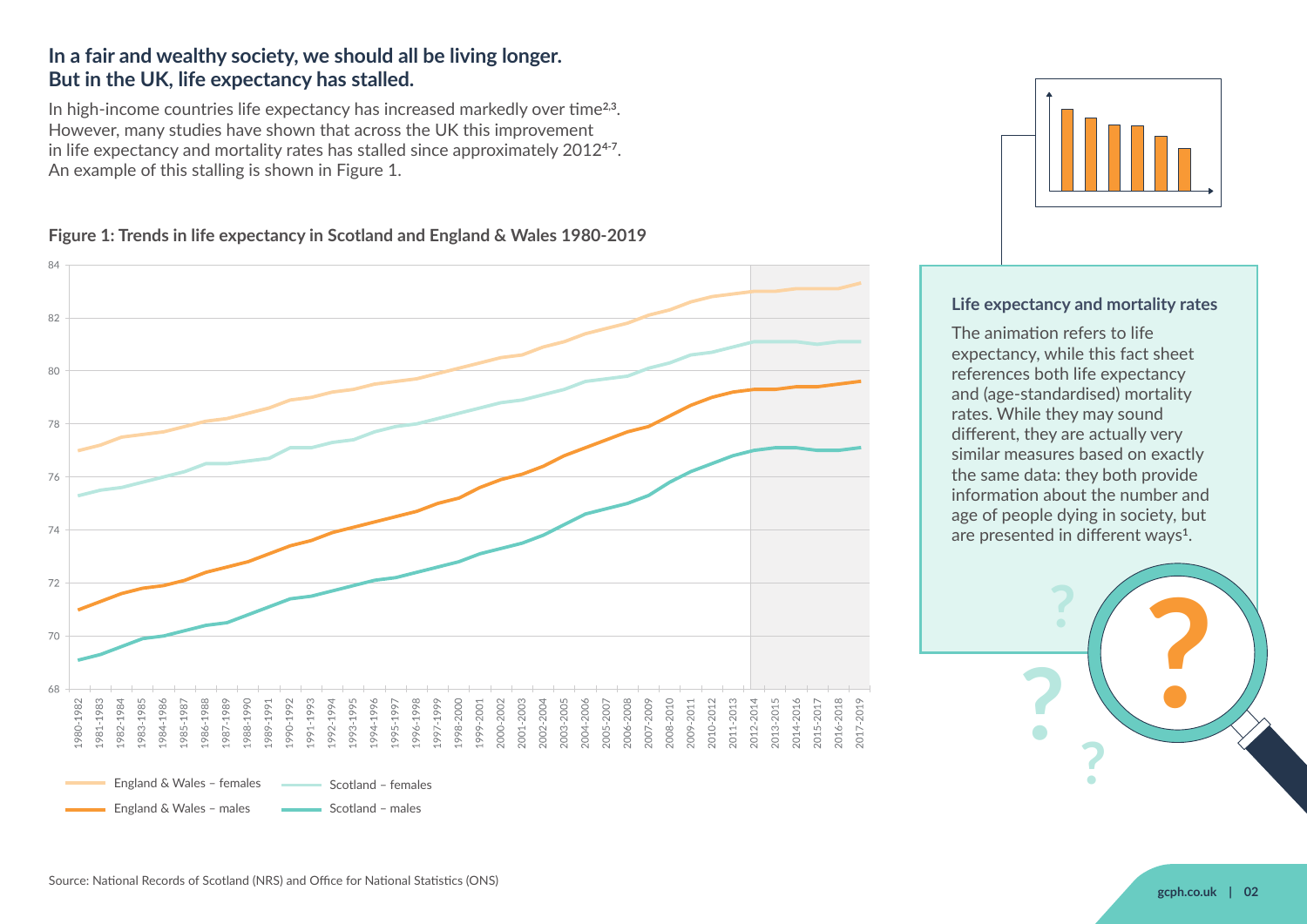#### **In a fair and wealthy society, we should all be living longer. But in the UK, life expectancy has stalled.**

In high-income countries life expectancy has increased markedly over time**2,3**. However, many studies have shown that across the UK this improvement in life expectancy and mortality rates has stalled since approximately 2012<sup>4-7</sup>. An example of this stalling is shown in Figure 1.

#### **Figure 1: Trends in life expectancy in Scotland and England & Wales 1980-2019**





#### **Life expectancy and mortality rates**

The animation refers to life expectancy, while this fact sheet references both life expectancy and (age-standardised) mortality rates. While they may sound different, they are actually very similar measures based on exactly the same data: they both provide information about the number and age of people dying in society, but are presented in different ways**1**.

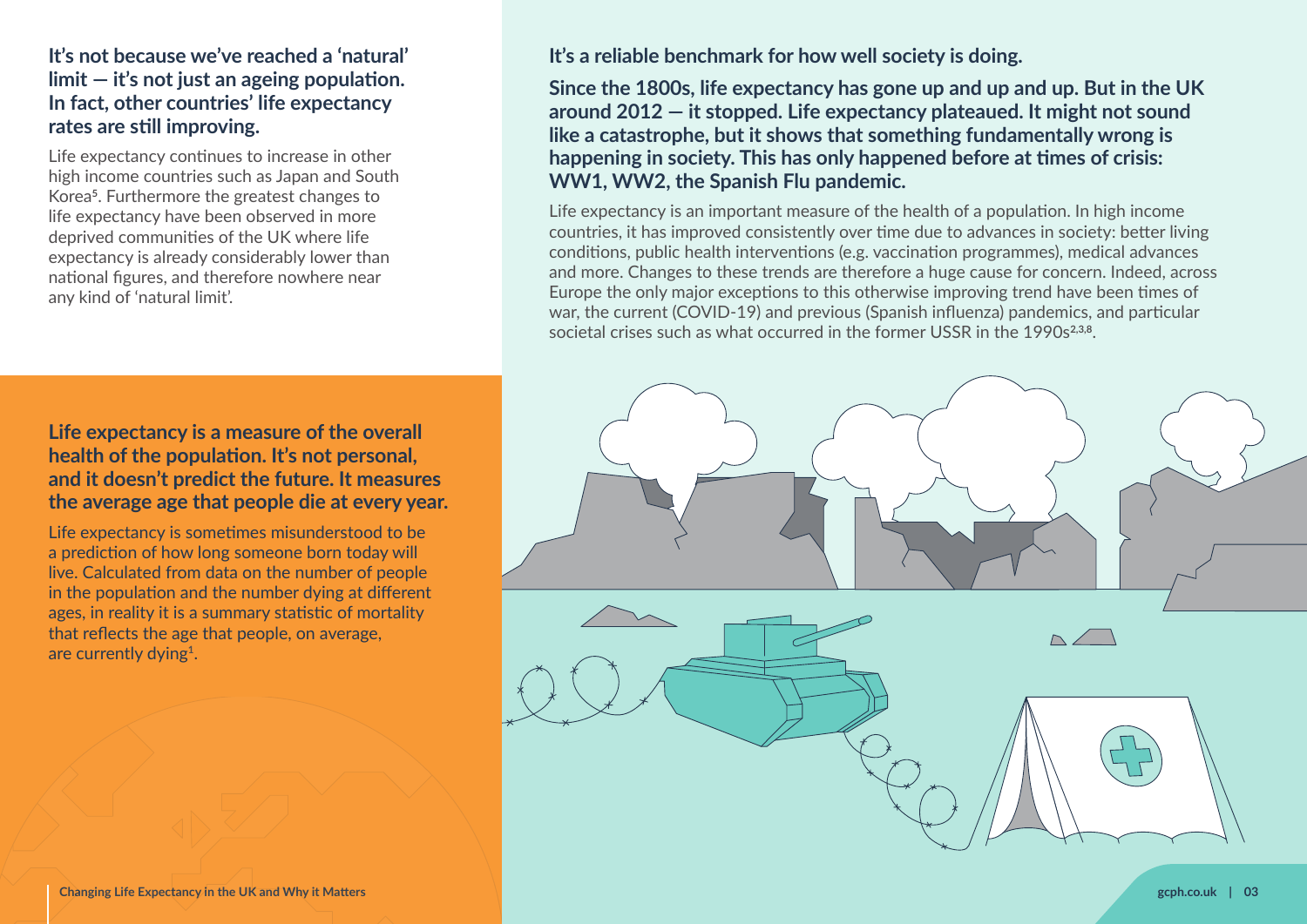#### **It's not because we've reached a 'natural' limit — it's not just an ageing population. In fact, other countries' life expectancy rates are still improving.**

Life expectancy continues to increase in other high income countries such as Japan and South Korea**5**. Furthermore the greatest changes to life expectancy have been observed in more deprived communities of the UK where life expectancy is already considerably lower than national figures, and therefore nowhere near any kind of 'natural limit'.

#### **Life expectancy is a measure of the overall health of the population. It's not personal, and it doesn't predict the future. It measures the average age that people die at every year.**

Life expectancy is sometimes misunderstood to be a prediction of how long someone born today will live. Calculated from data on the number of people in the population and the number dying at different ages, in reality it is a summary statistic of mortality that reflects the age that people, on average, are currently dying**1**.

**It's a reliable benchmark for how well society is doing.**

**Since the 1800s, life expectancy has gone up and up and up. But in the UK around 2012 — it stopped. Life expectancy plateaued. It might not sound like a catastrophe, but it shows that something fundamentally wrong is happening in society. This has only happened before at times of crisis: WW1, WW2, the Spanish Flu pandemic.**

Life expectancy is an important measure of the health of a population. In high income countries, it has improved consistently over time due to advances in society: better living conditions, public health interventions (e.g. vaccination programmes), medical advances and more. Changes to these trends are therefore a huge cause for concern. Indeed, across Europe the only major exceptions to this otherwise improving trend have been times of war, the current (COVID-19) and previous (Spanish influenza) pandemics, and particular societal crises such as what occurred in the former USSR in the 1990s<sup>2,3,8</sup>.

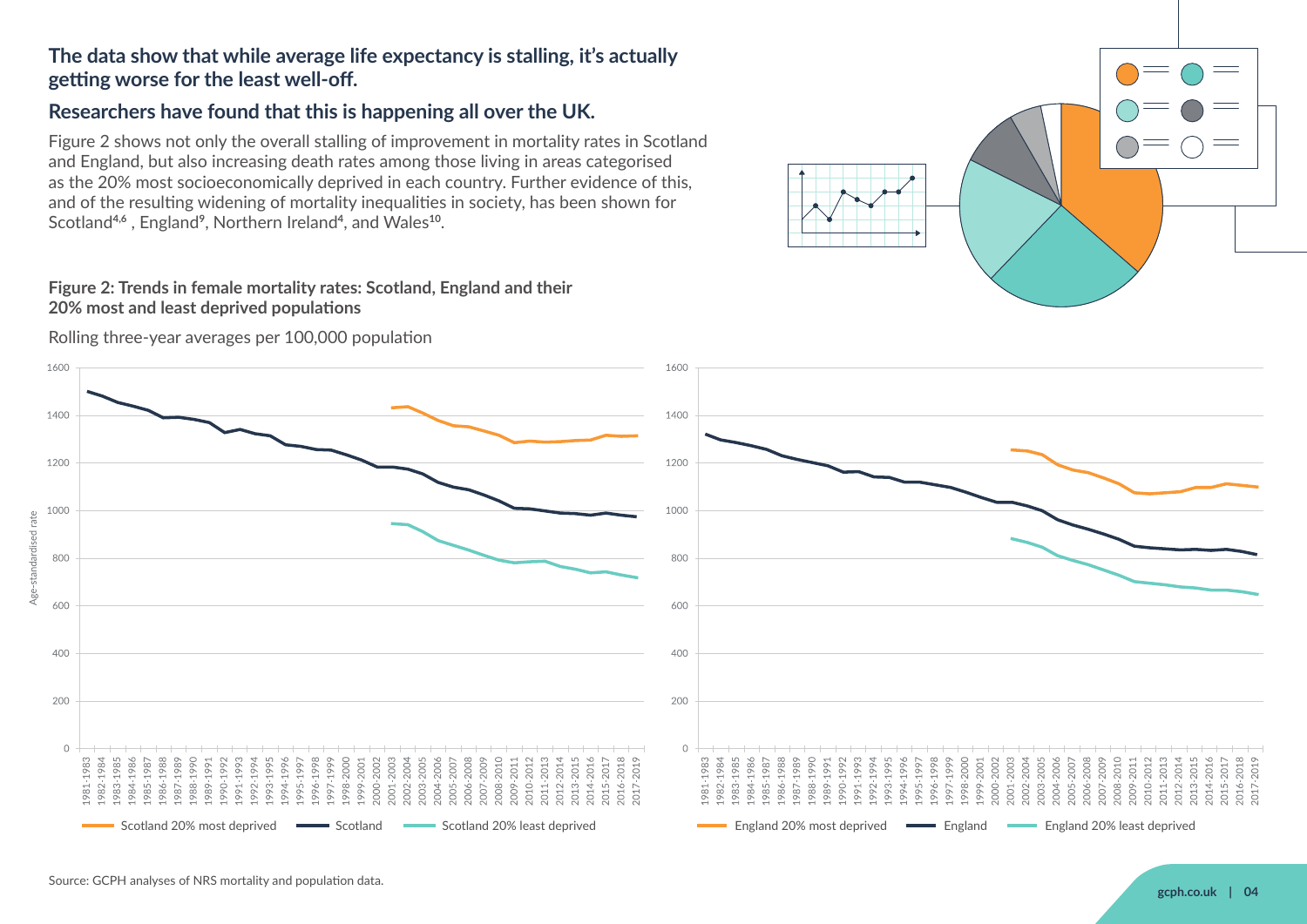## **The data show that while average life expectancy is stalling, it's actually getting worse for the least well-off.**

## **Researchers have found that this is happening all over the UK.**

Figure 2 shows not only the overall stalling of improvement in mortality rates in Scotland and England, but also increasing death rates among those living in areas categorised as the 20% most socioeconomically deprived in each country. Further evidence of this, and of the resulting widening of mortality inequalities in society, has been shown for Scotland<sup>4,6</sup>, England<sup>9</sup>, Northern Ireland<sup>4</sup>, and Wales<sup>10</sup>.

#### **Figure 2: Trends in female mortality rates: Scotland, England and their 20% most and least deprived populations**

Rolling three-year averages per 100,000 population





standardised rate

Age-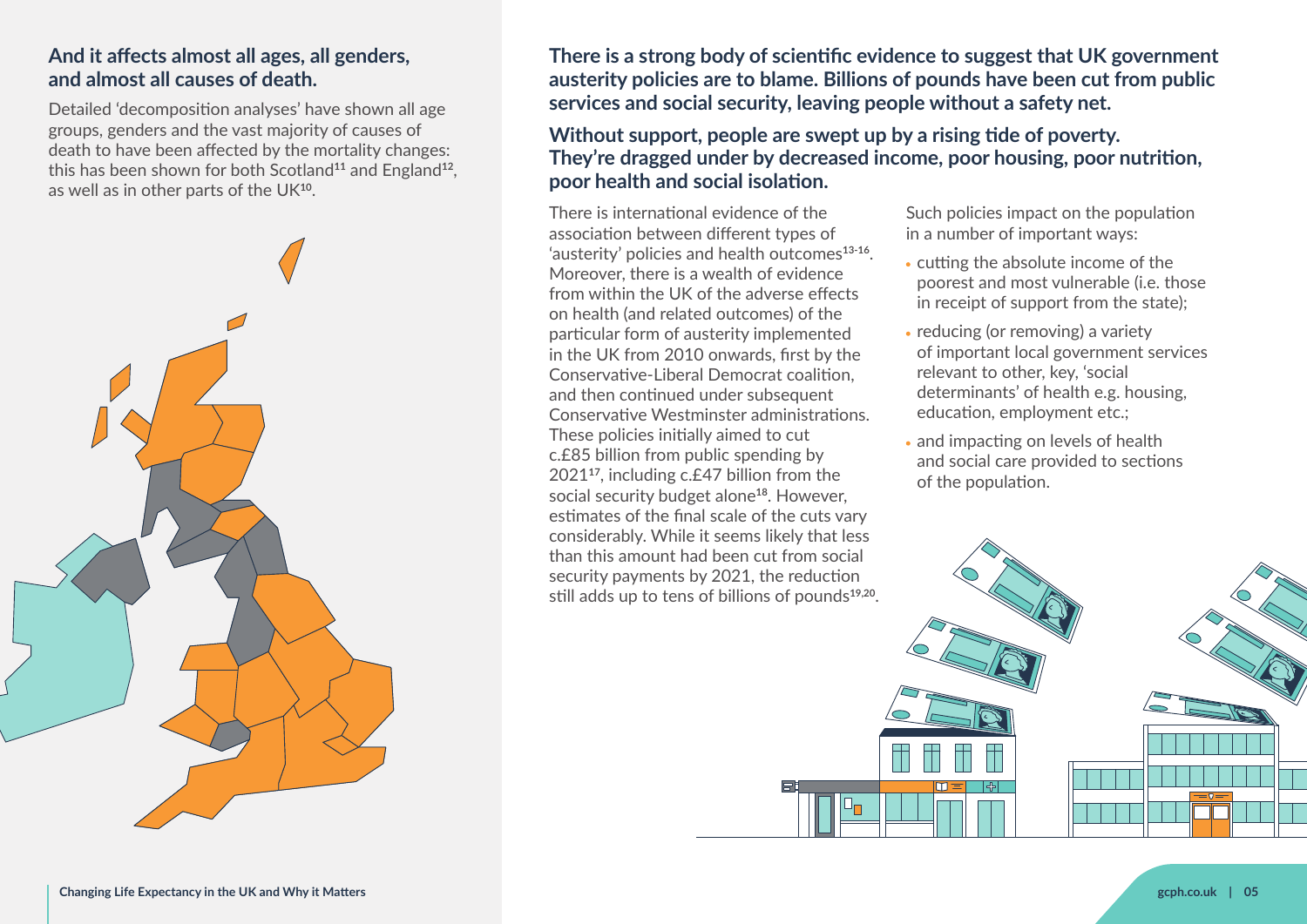#### **And it affects almost all ages, all genders, and almost all causes of death.**

Detailed 'decomposition analyses' have shown all age groups, genders and the vast majority of causes of death to have been affected by the mortality changes: this has been shown for both Scotland<sup>11</sup> and England<sup>12</sup>, as well as in other parts of the UK<sup>10</sup>.



**There is a strong body of scientific evidence to suggest that UK government austerity policies are to blame. Billions of pounds have been cut from public services and social security, leaving people without a safety net.** 

**Without support, people are swept up by a rising tide of poverty. They're dragged under by decreased income, poor housing, poor nutrition, poor health and social isolation.**

There is international evidence of the association between different types of 'austerity' policies and health outcomes**13-16**. Moreover, there is a wealth of evidence from within the UK of the adverse effects on health (and related outcomes) of the particular form of austerity implemented in the UK from 2010 onwards, first by the Conservative-Liberal Democrat coalition, and then continued under subsequent Conservative Westminster administrations. These policies initially aimed to cut c.£85 billion from public spending by 2021<sup>17</sup>, including c.£47 billion from the social security budget alone**18**. However, estimates of the final scale of the cuts vary considerably. While it seems likely that less than this amount had been cut from social security payments by 2021, the reduction still adds up to tens of billions of pounds**19,20**. Such policies impact on the population in a number of important ways:

- cutting the absolute income of the poorest and most vulnerable (i.e. those in receipt of support from the state);
- reducing (or removing) a variety of important local government services relevant to other, key, 'social determinants' of health e.g. housing, education, employment etc.;
- and impacting on levels of health and social care provided to sections of the population.

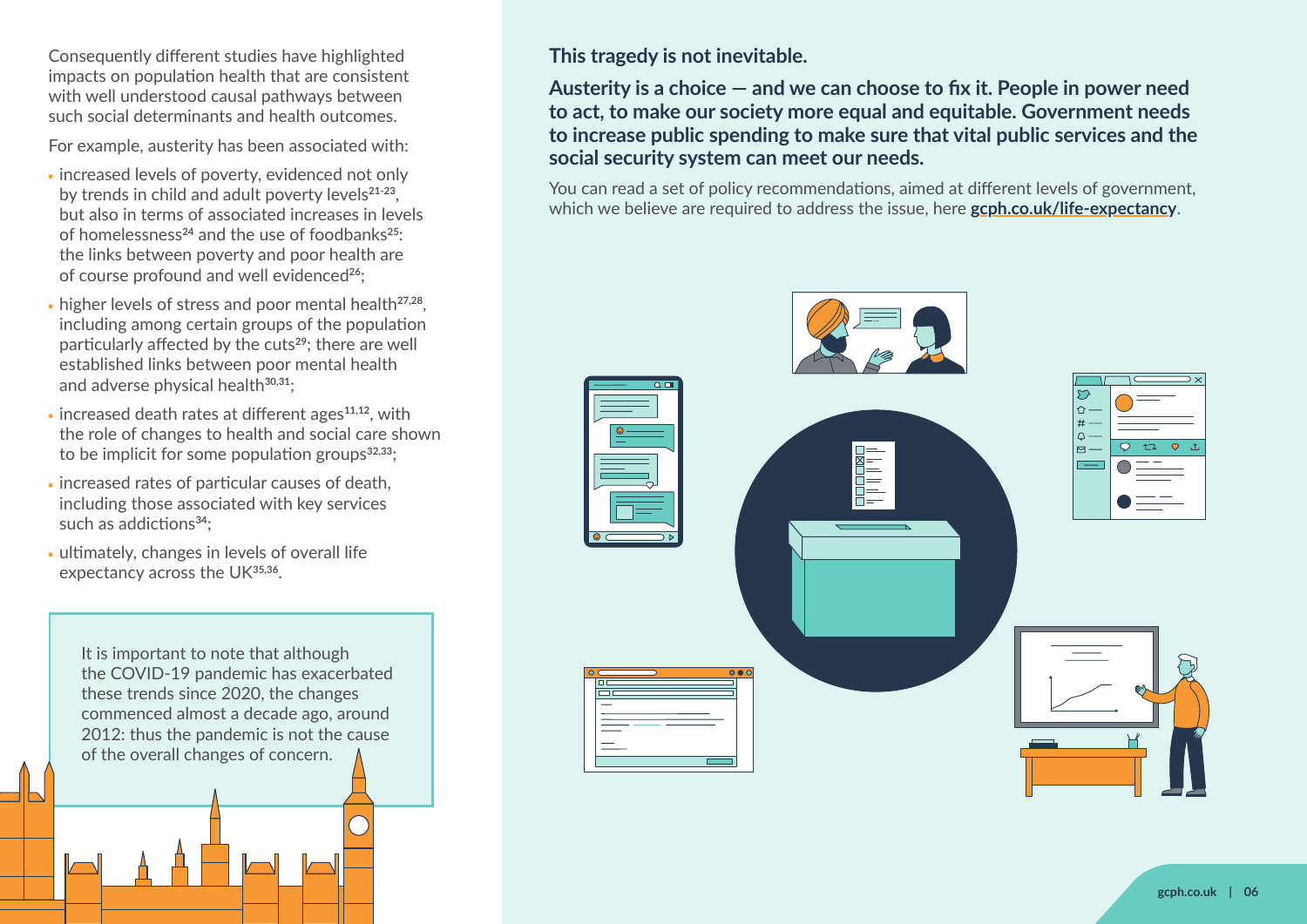Consequently different studies have highlighted impacts on population health that are consistent with well understood causal pathways between such social determinants and health outcomes.

For example, austerity has been associated with:

- increased levels of poverty, evidenced not only by trends in child and adult poverty levels**21-23**, but also in terms of associated increases in levels of homelessness**24** and the use of foodbanks**25**: the links between poverty and poor health are of course profound and well evidenced**26**;
- higher levels of stress and poor mental health**27,28**, including among certain groups of the population particularly affected by the cuts**29**; there are well established links between poor mental health and adverse physical health**30,31**;
- increased death rates at different ages**11,12**, with the role of changes to health and social care shown to be implicit for some population groups**32,33**;
- increased rates of particular causes of death, including those associated with key services such as addictions**34**;
- ultimately, changes in levels of overall life expectancy across the UK**35,36**.

It is important to note that although the COVID-19 pandemic has exacerbated these trends since 2020, the changes commenced almost a decade ago, around 2012: thus the pandemic is not the cause of the overall changes of concern.

**This tragedy is not inevitable.**

**Austerity is a choice — and we can choose to fix it. People in power need to act, to make our society more equal and equitable. Government needs to increase public spending to make sure that vital public services and the social security system can meet our needs.**

You can read a set of policy recommendations, aimed at different levels of government, which we believe are required to address the issue, here **[gcph.co.uk/life-expectancy](https://www.gcph.co.uk/life-expectancy)**.

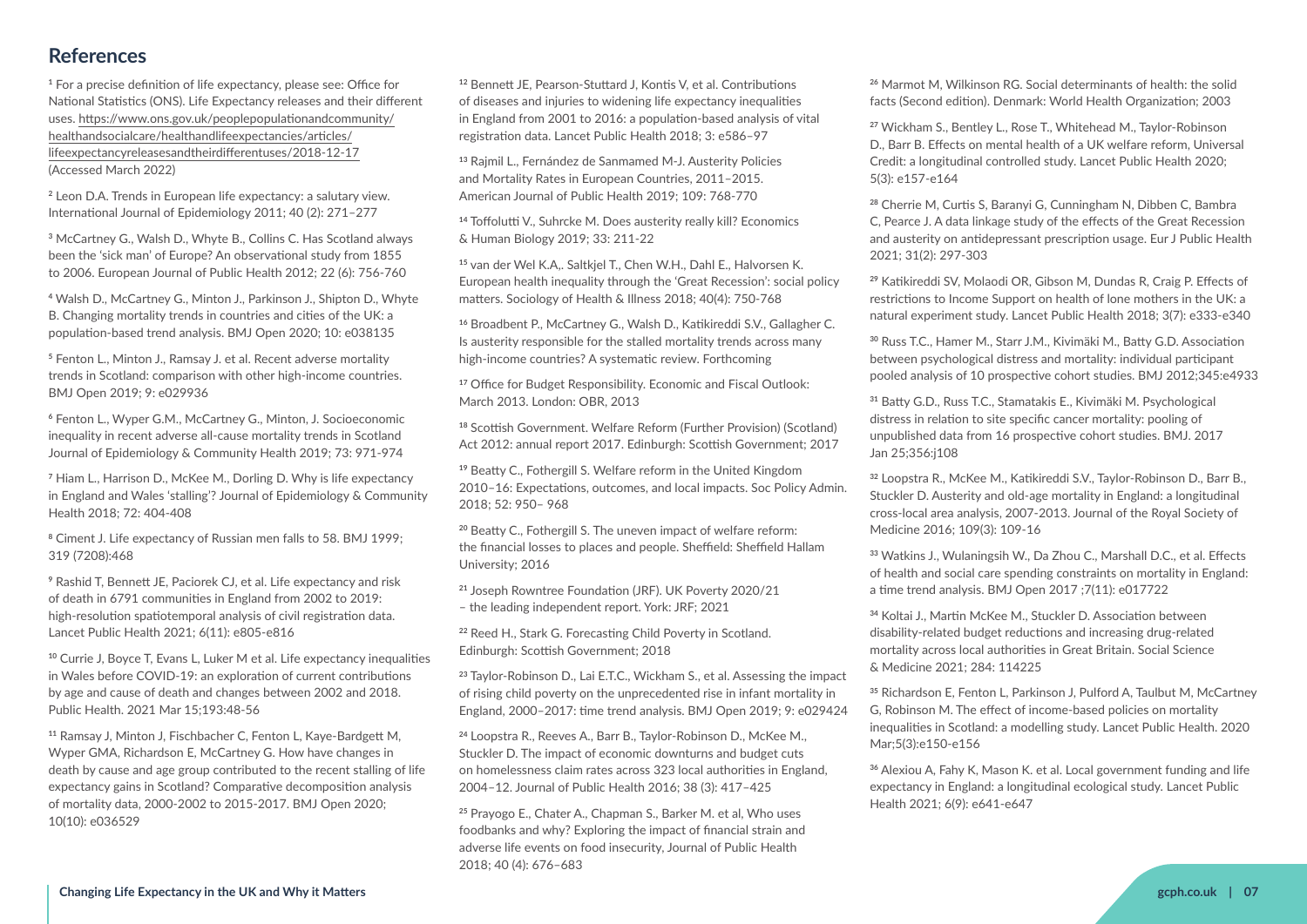# **References**

**<sup>1</sup>** For a precise definition of life expectancy, please see: Office for National Statistics (ONS). Life Expectancy releases and their different uses. [https://www.ons.gov.uk/peoplepopulationandcommunity/](https://www.ons.gov.uk/peoplepopulationandcommunity/healthandsocialcare/healthandlifeexpectancies/articles/lifeexpectancyreleasesandtheirdifferentuses/2018-12-17) [healthandsocialcare/healthandlifeexpectancies/articles/](https://www.ons.gov.uk/peoplepopulationandcommunity/healthandsocialcare/healthandlifeexpectancies/articles/lifeexpectancyreleasesandtheirdifferentuses/2018-12-17) [lifeexpectancyreleasesandtheirdifferentuses/2018-12-17](https://www.ons.gov.uk/peoplepopulationandcommunity/healthandsocialcare/healthandlifeexpectancies/articles/lifeexpectancyreleasesandtheirdifferentuses/2018-12-17) (Accessed March 2022)

**<sup>2</sup>** Leon D.A. Trends in European life expectancy: a salutary view. International Journal of Epidemiology 2011; 40 (2): 271–277

**<sup>3</sup>** McCartney G., Walsh D., Whyte B., Collins C. Has Scotland always been the 'sick man' of Europe? An observational study from 1855 to 2006. European Journal of Public Health 2012; 22 (6): 756-760

**<sup>4</sup>** Walsh D., McCartney G., Minton J., Parkinson J., Shipton D., Whyte B. Changing mortality trends in countries and cities of the UK: a population-based trend analysis. BMJ Open 2020; 10: e038135

**<sup>5</sup>** Fenton L., Minton J., Ramsay J. et al. Recent adverse mortality trends in Scotland: comparison with other high-income countries. BMJ Open 2019; 9: e029936

**<sup>6</sup>** Fenton L., Wyper G.M., McCartney G., Minton, J. Socioeconomic inequality in recent adverse all-cause mortality trends in Scotland Journal of Epidemiology & Community Health 2019; 73: 971-974

**<sup>7</sup>** Hiam L., Harrison D., McKee M., Dorling D. Why is life expectancy in England and Wales 'stalling'? Journal of Epidemiology & Community Health 2018; 72: 404-408

**<sup>8</sup>** Ciment J. Life expectancy of Russian men falls to 58. BMJ 1999; 319 (7208):468

**<sup>9</sup>** Rashid T, Bennett JE, Paciorek CJ, et al. Life expectancy and risk of death in 6791 communities in England from 2002 to 2019: high-resolution spatiotemporal analysis of civil registration data. Lancet Public Health 2021; 6(11): e805-e816

**<sup>10</sup>** Currie J, Boyce T, Evans L, Luker M et al. Life expectancy inequalities in Wales before COVID-19: an exploration of current contributions by age and cause of death and changes between 2002 and 2018. Public Health. 2021 Mar 15;193:48-56

**<sup>11</sup>** Ramsay J, Minton J, Fischbacher C, Fenton L, Kaye-Bardgett M, Wyper GMA, Richardson E, McCartney G. How have changes in death by cause and age group contributed to the recent stalling of life expectancy gains in Scotland? Comparative decomposition analysis of mortality data, 2000-2002 to 2015-2017. BMJ Open 2020; 10(10): e036529

**<sup>12</sup>** Bennett JE, Pearson-Stuttard J, Kontis V, et al. Contributions of diseases and injuries to widening life expectancy inequalities in England from 2001 to 2016: a population-based analysis of vital registration data. Lancet Public Health 2018; 3: e586–97

**<sup>13</sup>** Rajmil L., Fernández de Sanmamed M-J. Austerity Policies and Mortality Rates in European Countries, 2011–2015. American Journal of Public Health 2019; 109: 768-770

**<sup>14</sup>** Toffolutti V., Suhrcke M. Does austerity really kill? Economics & Human Biology 2019; 33: 211-22

**<sup>15</sup>** van der Wel K.A,. Saltkjel T., Chen W.H., Dahl E., Halvorsen K. European health inequality through the 'Great Recession': social policy matters. Sociology of Health & Illness 2018; 40(4): 750-768

**<sup>16</sup>** Broadbent P., McCartney G., Walsh D., Katikireddi S.V., Gallagher C. Is austerity responsible for the stalled mortality trends across many high-income countries? A systematic review. Forthcoming

<sup>17</sup> Office for Budget Responsibility. Economic and Fiscal Outlook: March 2013. London: OBR, 2013

**<sup>18</sup>** Scottish Government. Welfare Reform (Further Provision) (Scotland) Act 2012: annual report 2017. Edinburgh: Scottish Government; 2017

**<sup>19</sup>** Beatty C., Fothergill S. Welfare reform in the United Kingdom 2010–16: Expectations, outcomes, and local impacts. Soc Policy Admin. 2018; 52: 950– 968

**<sup>20</sup>** Beatty C., Fothergill S. The uneven impact of welfare reform: the financial losses to places and people. Sheffield: Sheffield Hallam University; 2016

**<sup>21</sup>** Joseph Rowntree Foundation (JRF). UK Poverty 2020/21 – the leading independent report. York: JRF; 2021

**<sup>22</sup>** Reed H., Stark G. Forecasting Child Poverty in Scotland. Edinburgh: Scottish Government; 2018

**<sup>23</sup>** Taylor-Robinson D., Lai E.T.C., Wickham S., et al. Assessing the impact of rising child poverty on the unprecedented rise in infant mortality in England, 2000–2017: time trend analysis. BMJ Open 2019; 9: e029424

**<sup>24</sup>** Loopstra R., Reeves A., Barr B., Taylor-Robinson D., McKee M., Stuckler D. The impact of economic downturns and budget cuts on homelessness claim rates across 323 local authorities in England, 2004–12. Journal of Public Health 2016; 38 (3): 417–425

**<sup>25</sup>** Prayogo E., Chater A., Chapman S., Barker M. et al, Who uses foodbanks and why? Exploring the impact of financial strain and adverse life events on food insecurity, Journal of Public Health 2018; 40 (4): 676–683

**<sup>26</sup>** Marmot M, Wilkinson RG. Social determinants of health: the solid facts (Second edition). Denmark: World Health Organization; 2003

**<sup>27</sup>** Wickham S., Bentley L., Rose T., Whitehead M., Taylor-Robinson D., Barr B. Effects on mental health of a UK welfare reform, Universal Credit: a longitudinal controlled study. Lancet Public Health 2020; 5(3): e157-e164

**<sup>28</sup>** Cherrie M, Curtis S, Baranyi G, Cunningham N, Dibben C, Bambra C, Pearce J. A data linkage study of the effects of the Great Recession and austerity on antidepressant prescription usage. Eur J Public Health 2021; 31(2): 297-303

**<sup>29</sup>** Katikireddi SV, Molaodi OR, Gibson M, Dundas R, Craig P. Effects of restrictions to Income Support on health of lone mothers in the UK: a natural experiment study. Lancet Public Health 2018; 3(7): e333-e340

**<sup>30</sup>** Russ T.C., Hamer M., Starr J.M., Kivimäki M., Batty G.D. Association between psychological distress and mortality: individual participant pooled analysis of 10 prospective cohort studies. BMJ 2012;345:e4933

**<sup>31</sup>** Batty G.D., Russ T.C., Stamatakis E., Kivimäki M. Psychological distress in relation to site specific cancer mortality: pooling of unpublished data from 16 prospective cohort studies. BMJ. 2017 Jan 25;356:j108

**<sup>32</sup>** Loopstra R., McKee M., Katikireddi S.V., Taylor-Robinson D., Barr B., Stuckler D. Austerity and old-age mortality in England: a longitudinal cross-local area analysis, 2007-2013. Journal of the Royal Society of Medicine 2016; 109(3): 109-16

**<sup>33</sup>** Watkins J., Wulaningsih W., Da Zhou C., Marshall D.C., et al. Effects of health and social care spending constraints on mortality in England: a time trend analysis. BMJ Open 2017 ;7(11): e017722

**<sup>34</sup>** Koltai J., Martin McKee M., Stuckler D. Association between disability-related budget reductions and increasing drug-related mortality across local authorities in Great Britain. Social Science & Medicine 2021; 284: 114225

**<sup>35</sup>** Richardson E, Fenton L, Parkinson J, Pulford A, Taulbut M, McCartney G, Robinson M. The effect of income-based policies on mortality inequalities in Scotland: a modelling study. Lancet Public Health. 2020 Mar;5(3):e150-e156

**<sup>36</sup>** Alexiou A, Fahy K, Mason K. et al. Local government funding and life expectancy in England: a longitudinal ecological study. Lancet Public Health 2021; 6(9): e641-e647